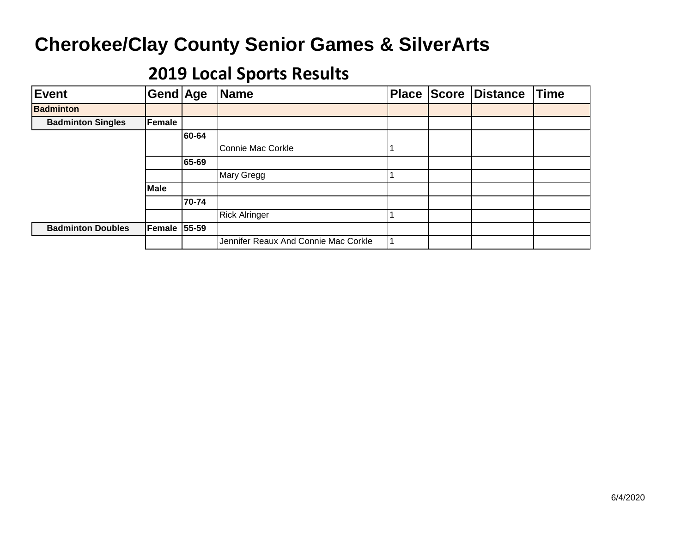| Event                    | Gend Age            |       | Name                                 |  | Place Score Distance | <b>Time</b> |
|--------------------------|---------------------|-------|--------------------------------------|--|----------------------|-------------|
| <b>Badminton</b>         |                     |       |                                      |  |                      |             |
| <b>Badminton Singles</b> | Female              |       |                                      |  |                      |             |
|                          |                     | 60-64 |                                      |  |                      |             |
|                          |                     |       | Connie Mac Corkle                    |  |                      |             |
|                          |                     | 65-69 |                                      |  |                      |             |
|                          |                     |       | Mary Gregg                           |  |                      |             |
|                          | Male                |       |                                      |  |                      |             |
|                          |                     | 70-74 |                                      |  |                      |             |
|                          |                     |       | <b>Rick Alringer</b>                 |  |                      |             |
| <b>Badminton Doubles</b> | <b>Female 55-59</b> |       |                                      |  |                      |             |
|                          |                     |       | Jennifer Reaux And Connie Mac Corkle |  |                      |             |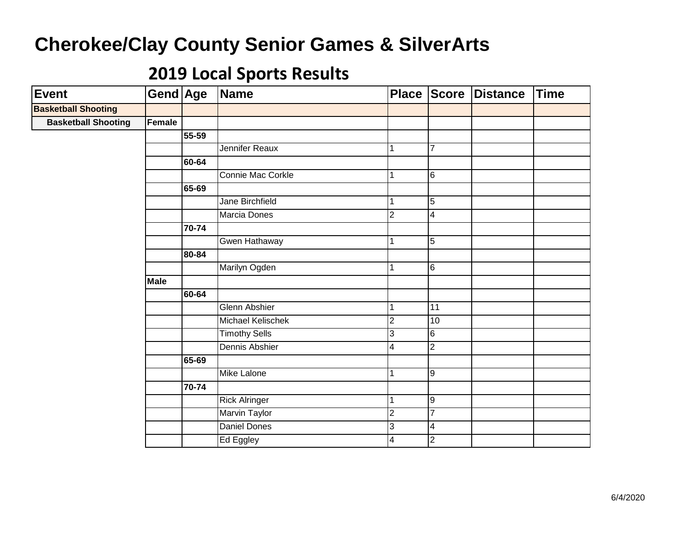| <b>Event</b>               | Gend Age      |       | Name                 | <b>Place</b>            | <b>Score</b>            | <b>Distance</b> | <b>Time</b> |
|----------------------------|---------------|-------|----------------------|-------------------------|-------------------------|-----------------|-------------|
| <b>Basketball Shooting</b> |               |       |                      |                         |                         |                 |             |
| <b>Basketball Shooting</b> | <b>Female</b> |       |                      |                         |                         |                 |             |
|                            |               | 55-59 |                      |                         |                         |                 |             |
|                            |               |       | Jennifer Reaux       | 1                       | $\overline{7}$          |                 |             |
|                            |               | 60-64 |                      |                         |                         |                 |             |
|                            |               |       | Connie Mac Corkle    | 1                       | 6                       |                 |             |
|                            |               | 65-69 |                      |                         |                         |                 |             |
|                            |               |       | Jane Birchfield      | 1                       | $\overline{5}$          |                 |             |
|                            |               |       | Marcia Dones         | $\overline{2}$          | $\overline{4}$          |                 |             |
|                            |               | 70-74 |                      |                         |                         |                 |             |
|                            |               |       | Gwen Hathaway        | 1                       | 5                       |                 |             |
|                            |               | 80-84 |                      |                         |                         |                 |             |
|                            |               |       | Marilyn Ogden        | 1                       | $6\phantom{1}$          |                 |             |
|                            | <b>Male</b>   |       |                      |                         |                         |                 |             |
|                            |               | 60-64 |                      |                         |                         |                 |             |
|                            |               |       | Glenn Abshier        | 1                       | 11                      |                 |             |
|                            |               |       | Michael Kelischek    | $\overline{2}$          | 10                      |                 |             |
|                            |               |       | <b>Timothy Sells</b> | 3                       | $6 \overline{}$         |                 |             |
|                            |               |       | Dennis Abshier       | $\overline{\mathbf{4}}$ | $\overline{2}$          |                 |             |
|                            |               | 65-69 |                      |                         |                         |                 |             |
|                            |               |       | <b>Mike Lalone</b>   | 1                       | 9                       |                 |             |
|                            |               | 70-74 |                      |                         |                         |                 |             |
|                            |               |       | <b>Rick Alringer</b> | $\mathbf{1}$            | 9                       |                 |             |
|                            |               |       | <b>Marvin Taylor</b> | $\overline{2}$          | $\overline{7}$          |                 |             |
|                            |               |       | Daniel Dones         | 3                       | $\overline{\mathbf{4}}$ |                 |             |
|                            |               |       | Ed Eggley            | 4                       | $\overline{2}$          |                 |             |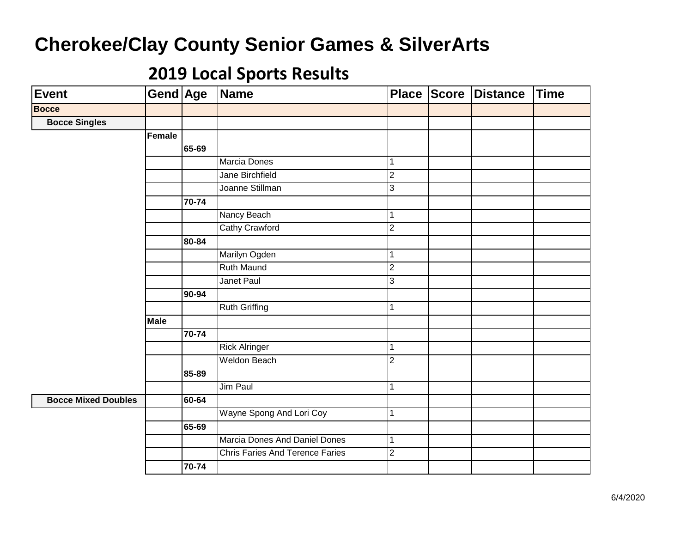| <b>Event</b>               | Gend Age      |       | Name                                   |                | Place Score | <b>Distance</b> | <b>Time</b> |
|----------------------------|---------------|-------|----------------------------------------|----------------|-------------|-----------------|-------------|
| <b>Bocce</b>               |               |       |                                        |                |             |                 |             |
| <b>Bocce Singles</b>       |               |       |                                        |                |             |                 |             |
|                            | <b>Female</b> |       |                                        |                |             |                 |             |
|                            |               | 65-69 |                                        |                |             |                 |             |
|                            |               |       | Marcia Dones                           | $\mathbf 1$    |             |                 |             |
|                            |               |       | <b>Jane Birchfield</b>                 | $\overline{2}$ |             |                 |             |
|                            |               |       | Joanne Stillman                        | $\overline{3}$ |             |                 |             |
|                            |               | 70-74 |                                        |                |             |                 |             |
|                            |               |       | Nancy Beach                            | $\mathbf{1}$   |             |                 |             |
|                            |               |       | <b>Cathy Crawford</b>                  | $\overline{2}$ |             |                 |             |
|                            |               | 80-84 |                                        |                |             |                 |             |
|                            |               |       | Marilyn Ogden                          | $\mathbf{1}$   |             |                 |             |
|                            |               |       | Ruth Maund                             | $\overline{2}$ |             |                 |             |
|                            |               |       | Janet Paul                             | $\mathbf{3}$   |             |                 |             |
|                            |               | 90-94 |                                        |                |             |                 |             |
|                            |               |       | <b>Ruth Griffing</b>                   | $\mathbf{1}$   |             |                 |             |
|                            | <b>Male</b>   |       |                                        |                |             |                 |             |
|                            |               | 70-74 |                                        |                |             |                 |             |
|                            |               |       | <b>Rick Alringer</b>                   | $\mathbf{1}$   |             |                 |             |
|                            |               |       | <b>Weldon Beach</b>                    | $\overline{2}$ |             |                 |             |
|                            |               | 85-89 |                                        |                |             |                 |             |
|                            |               |       | Jim Paul                               | $\mathbf{1}$   |             |                 |             |
| <b>Bocce Mixed Doubles</b> |               | 60-64 |                                        |                |             |                 |             |
|                            |               |       | Wayne Spong And Lori Coy               | $\mathbf{1}$   |             |                 |             |
|                            |               | 65-69 |                                        |                |             |                 |             |
|                            |               |       | <b>Marcia Dones And Daniel Dones</b>   | $\mathbf 1$    |             |                 |             |
|                            |               |       | <b>Chris Faries And Terence Faries</b> | $\overline{2}$ |             |                 |             |
|                            |               | 70-74 |                                        |                |             |                 |             |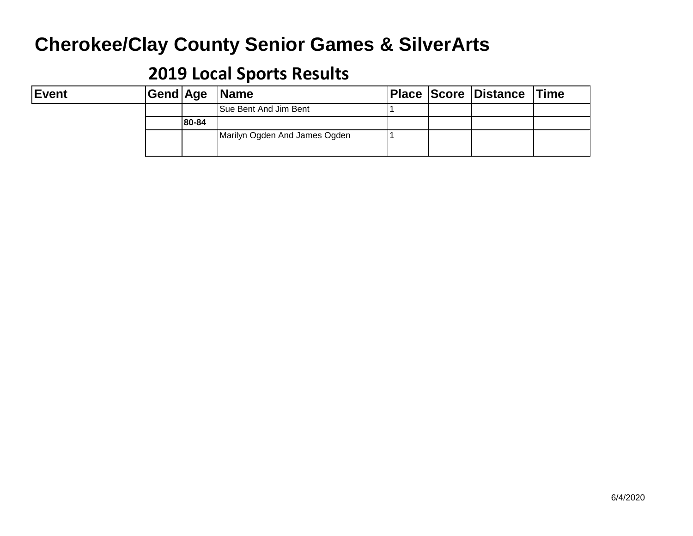| <b>Event</b> |       | Gend Age Name                 |  | <b>Place Score Distance Time</b> |  |
|--------------|-------|-------------------------------|--|----------------------------------|--|
|              |       | <b>Sue Bent And Jim Bent</b>  |  |                                  |  |
|              | 80-84 |                               |  |                                  |  |
|              |       | Marilyn Ogden And James Ogden |  |                                  |  |
|              |       |                               |  |                                  |  |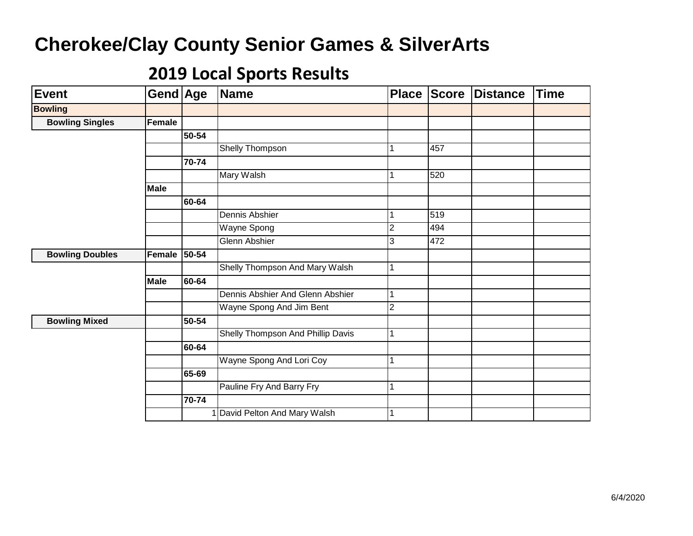| <b>Event</b>           | <b>Gend Age</b> |       | <b>Name</b>                       | <b>Place</b>   | <b>Score</b> | <b>Distance</b> | <b>Time</b> |
|------------------------|-----------------|-------|-----------------------------------|----------------|--------------|-----------------|-------------|
| <b>Bowling</b>         |                 |       |                                   |                |              |                 |             |
| <b>Bowling Singles</b> | Female          |       |                                   |                |              |                 |             |
|                        |                 | 50-54 |                                   |                |              |                 |             |
|                        |                 |       | Shelly Thompson                   |                | 457          |                 |             |
|                        |                 | 70-74 |                                   |                |              |                 |             |
|                        |                 |       | Mary Walsh                        | 1              | 520          |                 |             |
|                        | <b>Male</b>     |       |                                   |                |              |                 |             |
|                        |                 | 60-64 |                                   |                |              |                 |             |
|                        |                 |       | Dennis Abshier                    | $\mathbf{1}$   | 519          |                 |             |
|                        |                 |       | Wayne Spong                       | $\overline{2}$ | 494          |                 |             |
|                        |                 |       | Glenn Abshier                     | 3              | 472          |                 |             |
| <b>Bowling Doubles</b> | Female          | 50-54 |                                   |                |              |                 |             |
|                        |                 |       | Shelly Thompson And Mary Walsh    | $\mathbf{1}$   |              |                 |             |
|                        | <b>Male</b>     | 60-64 |                                   |                |              |                 |             |
|                        |                 |       | Dennis Abshier And Glenn Abshier  | 1              |              |                 |             |
|                        |                 |       | Wayne Spong And Jim Bent          | $\overline{2}$ |              |                 |             |
| <b>Bowling Mixed</b>   |                 | 50-54 |                                   |                |              |                 |             |
|                        |                 |       | Shelly Thompson And Phillip Davis | 1              |              |                 |             |
|                        |                 | 60-64 |                                   |                |              |                 |             |
|                        |                 |       | Wayne Spong And Lori Coy          | 1              |              |                 |             |
|                        |                 | 65-69 |                                   |                |              |                 |             |
|                        |                 |       | Pauline Fry And Barry Fry         | 1              |              |                 |             |
|                        |                 | 70-74 |                                   |                |              |                 |             |
|                        |                 |       | 1 David Pelton And Mary Walsh     | 1              |              |                 |             |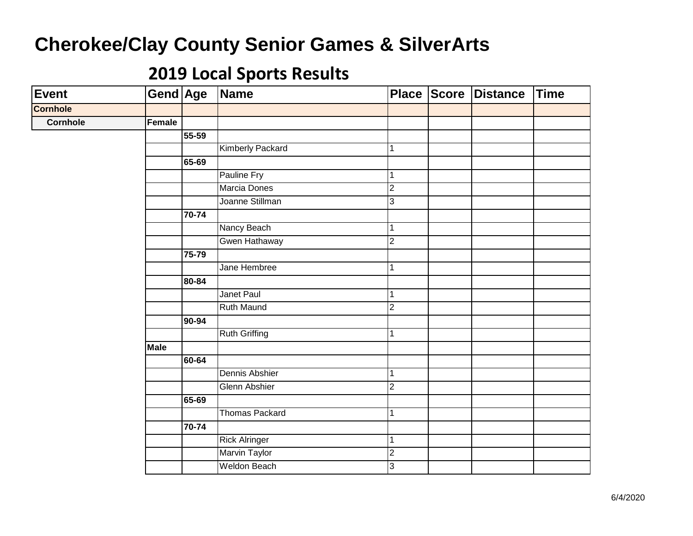| Event           | Gend Age    |           | Name                    |                | Place Score Distance | Time |
|-----------------|-------------|-----------|-------------------------|----------------|----------------------|------|
| <b>Cornhole</b> |             |           |                         |                |                      |      |
| <b>Cornhole</b> | Female      |           |                         |                |                      |      |
|                 |             | 55-59     |                         |                |                      |      |
|                 |             |           | <b>Kimberly Packard</b> | 1              |                      |      |
|                 |             | 65-69     |                         |                |                      |      |
|                 |             |           | Pauline Fry             | 1              |                      |      |
|                 |             |           | Marcia Dones            | $\overline{2}$ |                      |      |
|                 |             |           | Joanne Stillman         | $\overline{3}$ |                      |      |
|                 |             | 70-74     |                         |                |                      |      |
|                 |             |           | Nancy Beach             | $\mathbf 1$    |                      |      |
|                 |             |           | Gwen Hathaway           | $\overline{2}$ |                      |      |
|                 |             | 75-79     |                         |                |                      |      |
|                 |             |           | Jane Hembree            | $\mathbf{1}$   |                      |      |
|                 |             | $80 - 84$ |                         |                |                      |      |
|                 |             |           | Janet Paul              | $\mathbf{1}$   |                      |      |
|                 |             |           | <b>Ruth Maund</b>       | $\overline{2}$ |                      |      |
|                 |             | 90-94     |                         |                |                      |      |
|                 |             |           | <b>Ruth Griffing</b>    | $\mathbf{1}$   |                      |      |
|                 | <b>Male</b> |           |                         |                |                      |      |
|                 |             | 60-64     |                         |                |                      |      |
|                 |             |           | Dennis Abshier          | $\mathbf{1}$   |                      |      |
|                 |             |           | <b>Glenn Abshier</b>    | $\overline{2}$ |                      |      |
|                 |             | 65-69     |                         |                |                      |      |
|                 |             |           | <b>Thomas Packard</b>   | $\mathbf{1}$   |                      |      |
|                 |             | 70-74     |                         |                |                      |      |
|                 |             |           | <b>Rick Alringer</b>    | $\mathbf{1}$   |                      |      |
|                 |             |           | <b>Marvin Taylor</b>    | $\overline{2}$ |                      |      |
|                 |             |           | <b>Weldon Beach</b>     | 3              |                      |      |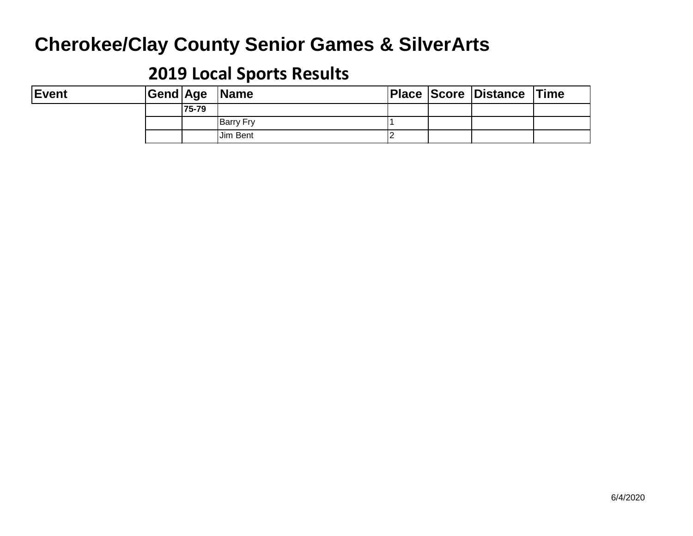| <b>Event</b> |       | Gend Age  Name   |  | <b>Place Score Distance Time</b> |  |
|--------------|-------|------------------|--|----------------------------------|--|
|              | 75-79 |                  |  |                                  |  |
|              |       | <b>Barry Fry</b> |  |                                  |  |
|              |       | Jim Bent         |  |                                  |  |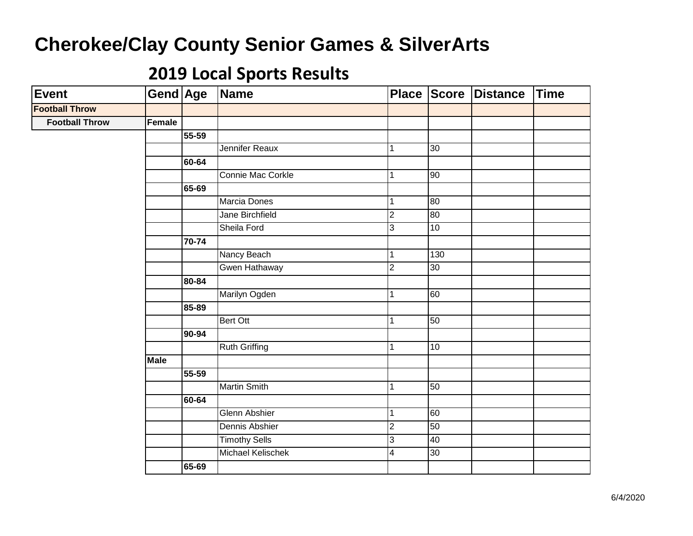| <b>Event</b>          | <b>Gend Age</b> |           | <b>Name</b>          | <b>Place</b>   |     | Score Distance | Time |
|-----------------------|-----------------|-----------|----------------------|----------------|-----|----------------|------|
| <b>Football Throw</b> |                 |           |                      |                |     |                |      |
| <b>Football Throw</b> | Female          |           |                      |                |     |                |      |
|                       |                 | 55-59     |                      |                |     |                |      |
|                       |                 |           | Jennifer Reaux       | 1              | 30  |                |      |
|                       |                 | 60-64     |                      |                |     |                |      |
|                       |                 |           | Connie Mac Corkle    | $\mathbf{1}$   | 90  |                |      |
|                       |                 | 65-69     |                      |                |     |                |      |
|                       |                 |           | <b>Marcia Dones</b>  | $\mathbf{1}$   | 80  |                |      |
|                       |                 |           | Jane Birchfield      | $\overline{2}$ | 80  |                |      |
|                       |                 |           | Sheila Ford          | $\overline{3}$ | 10  |                |      |
|                       |                 | $70 - 74$ |                      |                |     |                |      |
|                       |                 |           | Nancy Beach          | 1              | 130 |                |      |
|                       |                 |           | Gwen Hathaway        | $\overline{2}$ | 30  |                |      |
|                       |                 | 80-84     |                      |                |     |                |      |
|                       |                 |           | Marilyn Ogden        | 1              | 60  |                |      |
|                       |                 | 85-89     |                      |                |     |                |      |
|                       |                 |           | Bert Ott             | $\mathbf{1}$   | 50  |                |      |
|                       |                 | 90-94     |                      |                |     |                |      |
|                       |                 |           | <b>Ruth Griffing</b> | $\mathbf{1}$   | 10  |                |      |
|                       | <b>Male</b>     |           |                      |                |     |                |      |
|                       |                 | 55-59     |                      |                |     |                |      |
|                       |                 |           | <b>Martin Smith</b>  | $\mathbf{1}$   | 50  |                |      |
|                       |                 | 60-64     |                      |                |     |                |      |
|                       |                 |           | Glenn Abshier        | $\mathbf{1}$   | 60  |                |      |
|                       |                 |           | Dennis Abshier       | $\overline{c}$ | 50  |                |      |
|                       |                 |           | <b>Timothy Sells</b> | 3              | 40  |                |      |
|                       |                 |           | Michael Kelischek    | $\overline{4}$ | 30  |                |      |
|                       |                 | 65-69     |                      |                |     |                |      |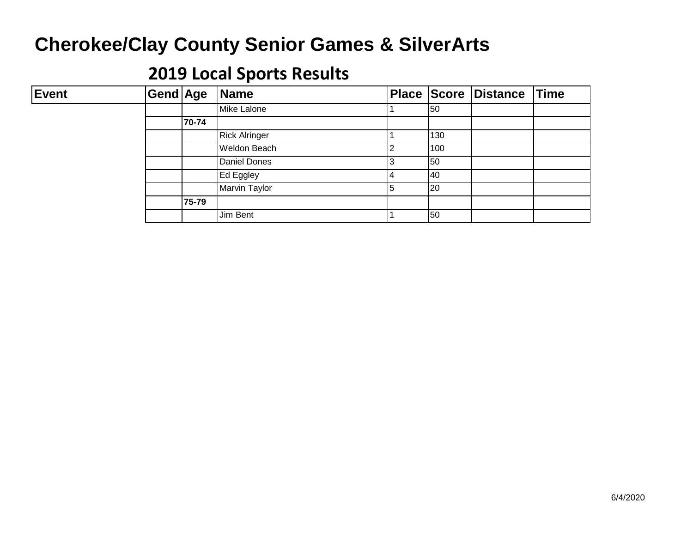| <b>Event</b> | Gend Age |       | Name                 |   |              | Place Score Distance Time |  |
|--------------|----------|-------|----------------------|---|--------------|---------------------------|--|
|              |          |       | Mike Lalone          |   | 50           |                           |  |
|              |          | 70-74 |                      |   |              |                           |  |
|              |          |       | <b>Rick Alringer</b> |   | 130          |                           |  |
|              |          |       | Weldon Beach         |   | 100          |                           |  |
|              |          |       | Daniel Dones         |   | 50           |                           |  |
|              |          |       | Ed Eggley            | 4 | 140          |                           |  |
|              |          |       | <b>Marvin Taylor</b> | 5 | $ 20\rangle$ |                           |  |
|              |          | 75-79 |                      |   |              |                           |  |
|              |          |       | Jim Bent             |   | 50           |                           |  |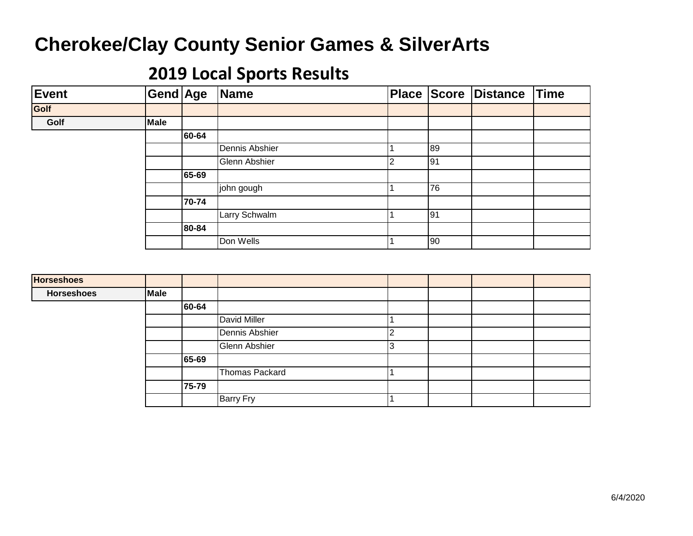| Event | Gend Age    |       | Name           | <b>Place</b> | Score | Distance | Time |
|-------|-------------|-------|----------------|--------------|-------|----------|------|
| Golf  |             |       |                |              |       |          |      |
| Golf  | <b>Male</b> |       |                |              |       |          |      |
|       |             | 60-64 |                |              |       |          |      |
|       |             |       | Dennis Abshier |              | 89    |          |      |
|       |             |       | Glenn Abshier  |              | 191   |          |      |
|       |             | 65-69 |                |              |       |          |      |
|       |             |       | john gough     |              | 76    |          |      |
|       |             | 70-74 |                |              |       |          |      |
|       |             |       | Larry Schwalm  |              | 91    |          |      |
|       |             | 80-84 |                |              |       |          |      |
|       |             |       | Don Wells      |              | 90    |          |      |

| <b>Horseshoes</b> |             |       |                  |  |  |
|-------------------|-------------|-------|------------------|--|--|
| <b>Horseshoes</b> | <b>Male</b> |       |                  |  |  |
|                   |             | 60-64 |                  |  |  |
|                   |             |       | David Miller     |  |  |
|                   |             |       | Dennis Abshier   |  |  |
|                   |             |       | Glenn Abshier    |  |  |
|                   |             | 65-69 |                  |  |  |
|                   |             |       | Thomas Packard   |  |  |
|                   |             | 75-79 |                  |  |  |
|                   |             |       | <b>Barry Fry</b> |  |  |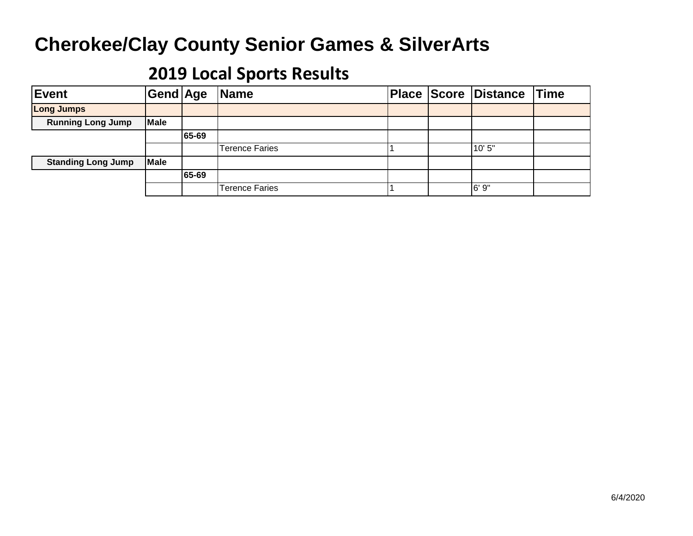| Event                     | Gend Age    |       | Name                  |  | Place Score Distance Time |  |
|---------------------------|-------------|-------|-----------------------|--|---------------------------|--|
| <b>Long Jumps</b>         |             |       |                       |  |                           |  |
| <b>Running Long Jump</b>  | <b>Male</b> |       |                       |  |                           |  |
|                           |             | 65-69 |                       |  |                           |  |
|                           |             |       | <b>Terence Faries</b> |  | 10'5"                     |  |
| <b>Standing Long Jump</b> | <b>Male</b> |       |                       |  |                           |  |
|                           |             | 65-69 |                       |  |                           |  |
|                           |             |       | <b>Terence Faries</b> |  | 6'9''                     |  |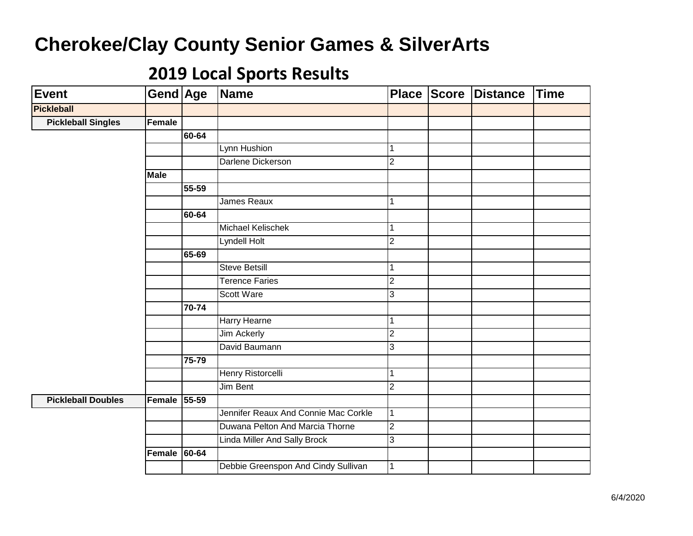| Event                     | Gend Age    |           | Name                                 |                | Place Score | <b>Distance</b> | <b>Time</b> |
|---------------------------|-------------|-----------|--------------------------------------|----------------|-------------|-----------------|-------------|
| <b>Pickleball</b>         |             |           |                                      |                |             |                 |             |
| <b>Pickleball Singles</b> | Female      |           |                                      |                |             |                 |             |
|                           |             | 60-64     |                                      |                |             |                 |             |
|                           |             |           | Lynn Hushion                         | 1              |             |                 |             |
|                           |             |           | Darlene Dickerson                    | $\overline{2}$ |             |                 |             |
|                           | <b>Male</b> |           |                                      |                |             |                 |             |
|                           |             | 55-59     |                                      |                |             |                 |             |
|                           |             |           | James Reaux                          | $\mathbf{1}$   |             |                 |             |
|                           |             | 60-64     |                                      |                |             |                 |             |
|                           |             |           | Michael Kelischek                    | $\mathbf{1}$   |             |                 |             |
|                           |             |           | Lyndell Holt                         | $\overline{2}$ |             |                 |             |
|                           |             | 65-69     |                                      |                |             |                 |             |
|                           |             |           | <b>Steve Betsill</b>                 | 1              |             |                 |             |
|                           |             |           | <b>Terence Faries</b>                | $\overline{2}$ |             |                 |             |
|                           |             |           | Scott Ware                           | $\mathbf{3}$   |             |                 |             |
|                           |             | 70-74     |                                      |                |             |                 |             |
|                           |             |           | <b>Harry Hearne</b>                  | 1              |             |                 |             |
|                           |             |           | <b>Jim Ackerly</b>                   | $\overline{2}$ |             |                 |             |
|                           |             |           | David Baumann                        | 3              |             |                 |             |
|                           |             | 75-79     |                                      |                |             |                 |             |
|                           |             |           | <b>Henry Ristorcelli</b>             | $\mathbf{1}$   |             |                 |             |
|                           |             |           | Jim Bent                             | $\overline{2}$ |             |                 |             |
| <b>Pickleball Doubles</b> | Female      | $55 - 59$ |                                      |                |             |                 |             |
|                           |             |           | Jennifer Reaux And Connie Mac Corkle | 1              |             |                 |             |
|                           |             |           | Duwana Pelton And Marcia Thorne      | $\overline{2}$ |             |                 |             |
|                           |             |           | <b>Linda Miller And Sally Brock</b>  | $\mathbf{3}$   |             |                 |             |
|                           | Female      | 60-64     |                                      |                |             |                 |             |
|                           |             |           | Debbie Greenspon And Cindy Sullivan  | 1              |             |                 |             |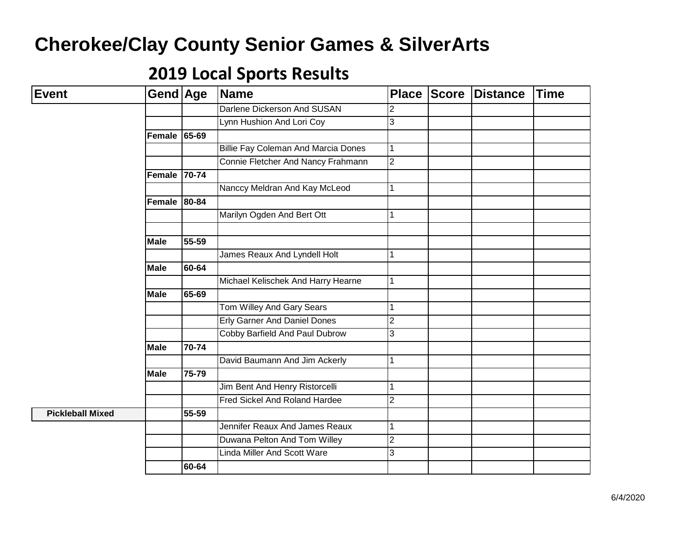| <b>Event</b>            | Gend Age      |                      | <b>Name</b>                                | <b>Place</b>   | <b>Score</b> | Distance | <b>Time</b> |
|-------------------------|---------------|----------------------|--------------------------------------------|----------------|--------------|----------|-------------|
|                         |               |                      | Darlene Dickerson And SUSAN                | $\overline{2}$ |              |          |             |
|                         |               |                      | Lynn Hushion And Lori Coy                  | 3              |              |          |             |
|                         | Female        | 65-69                |                                            |                |              |          |             |
|                         |               |                      | <b>Billie Fay Coleman And Marcia Dones</b> | 1              |              |          |             |
|                         |               |                      | Connie Fletcher And Nancy Frahmann         | $\overline{2}$ |              |          |             |
|                         | Female        | 70-74                |                                            |                |              |          |             |
|                         |               |                      | Nanccy Meldran And Kay McLeod              | 1              |              |          |             |
|                         | <b>Female</b> | 80-84                |                                            |                |              |          |             |
|                         |               |                      | Marilyn Ogden And Bert Ott                 | 1              |              |          |             |
|                         |               |                      |                                            |                |              |          |             |
|                         | <b>Male</b>   | 55-59                |                                            |                |              |          |             |
|                         |               |                      | James Reaux And Lyndell Holt               | 1              |              |          |             |
|                         | <b>Male</b>   | 60-64                |                                            |                |              |          |             |
|                         |               |                      | Michael Kelischek And Harry Hearne         | $\mathbf 1$    |              |          |             |
|                         | <b>Male</b>   | 65-69                |                                            |                |              |          |             |
|                         |               |                      | Tom Willey And Gary Sears                  | 1              |              |          |             |
|                         |               |                      | <b>Erly Garner And Daniel Dones</b>        | $\overline{2}$ |              |          |             |
|                         |               |                      | Cobby Barfield And Paul Dubrow             | 3              |              |          |             |
|                         | <b>Male</b>   | 70-74                |                                            |                |              |          |             |
|                         |               |                      | David Baumann And Jim Ackerly              | 1              |              |          |             |
|                         | <b>Male</b>   | $\overline{75} - 79$ |                                            |                |              |          |             |
|                         |               |                      | Jim Bent And Henry Ristorcelli             | 1              |              |          |             |
|                         |               |                      | <b>Fred Sickel And Roland Hardee</b>       | $\overline{2}$ |              |          |             |
| <b>Pickleball Mixed</b> |               | 55-59                |                                            |                |              |          |             |
|                         |               |                      | Jennifer Reaux And James Reaux             | 1              |              |          |             |
|                         |               |                      | Duwana Pelton And Tom Willey               | $\overline{c}$ |              |          |             |
|                         |               |                      | <b>Linda Miller And Scott Ware</b>         | 3              |              |          |             |
|                         |               | 60-64                |                                            |                |              |          |             |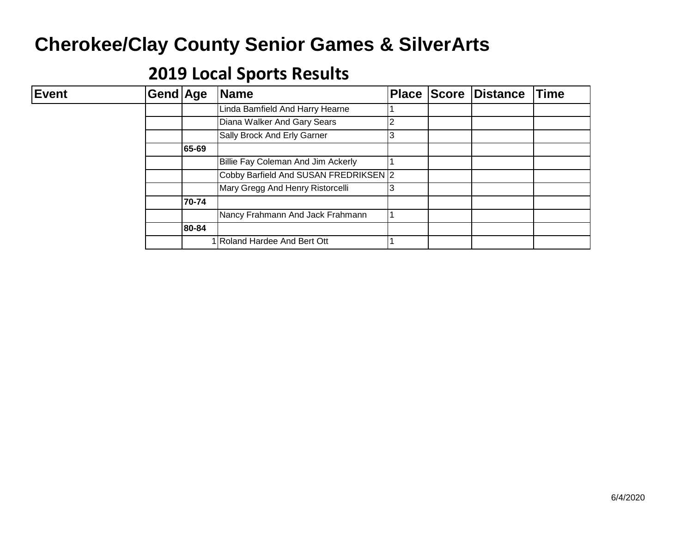| <b>Event</b> | <b>Gend Age</b> |       | <b>Name</b>                           | <b>Place Score</b> | Distance | <b>Time</b> |
|--------------|-----------------|-------|---------------------------------------|--------------------|----------|-------------|
|              |                 |       | Linda Bamfield And Harry Hearne       |                    |          |             |
|              |                 |       | Diana Walker And Gary Sears           |                    |          |             |
|              |                 |       | Sally Brock And Erly Garner           |                    |          |             |
|              |                 | 65-69 |                                       |                    |          |             |
|              |                 |       | Billie Fay Coleman And Jim Ackerly    |                    |          |             |
|              |                 |       | Cobby Barfield And SUSAN FREDRIKSEN 2 |                    |          |             |
|              |                 |       | Mary Gregg And Henry Ristorcelli      |                    |          |             |
|              |                 | 70-74 |                                       |                    |          |             |
|              |                 |       | Nancy Frahmann And Jack Frahmann      |                    |          |             |
|              |                 | 80-84 |                                       |                    |          |             |
|              |                 |       | Roland Hardee And Bert Ott            |                    |          |             |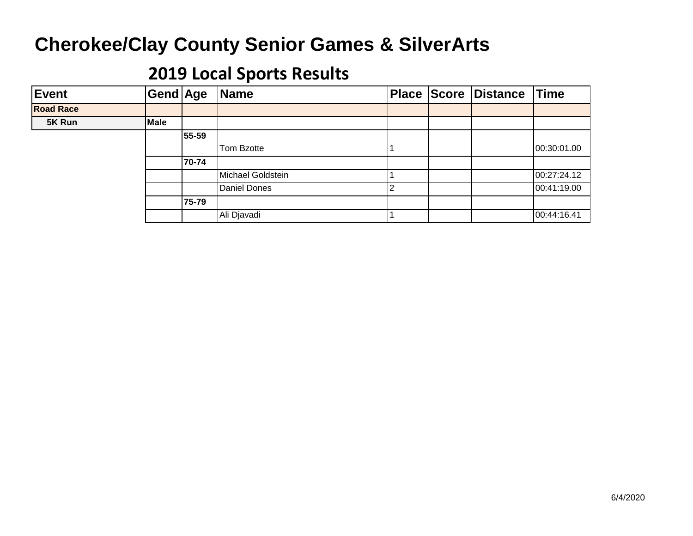| Event            | Gend Age    |       | Name                |  | <b>Place Score Distance</b> | <b>Time</b> |
|------------------|-------------|-------|---------------------|--|-----------------------------|-------------|
| <b>Road Race</b> |             |       |                     |  |                             |             |
| 5K Run           | <b>Male</b> |       |                     |  |                             |             |
|                  |             | 55-59 |                     |  |                             |             |
|                  |             |       | Tom Bzotte          |  |                             | 00:30:01.00 |
|                  |             | 70-74 |                     |  |                             |             |
|                  |             |       | Michael Goldstein   |  |                             | 00:27:24.12 |
|                  |             |       | <b>Daniel Dones</b> |  |                             | 00:41:19.00 |
|                  |             | 75-79 |                     |  |                             |             |
|                  |             |       | Ali Djavadi         |  |                             | 00:44:16.41 |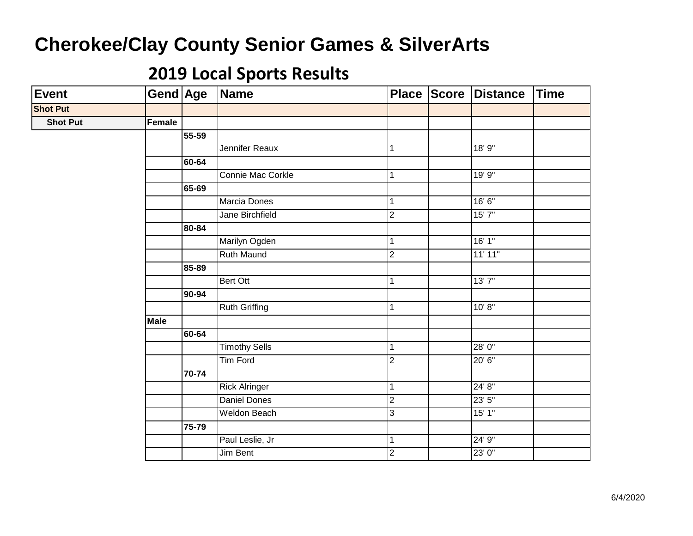| <b>Event</b>    | Gend Age      |       | Name                 |                | Place Score Distance | Time |
|-----------------|---------------|-------|----------------------|----------------|----------------------|------|
| <b>Shot Put</b> |               |       |                      |                |                      |      |
| <b>Shot Put</b> | <b>Female</b> |       |                      |                |                      |      |
|                 |               | 55-59 |                      |                |                      |      |
|                 |               |       | Jennifer Reaux       | 1              | 18' 9"               |      |
|                 |               | 60-64 |                      |                |                      |      |
|                 |               |       | Connie Mac Corkle    | $\mathbf{1}$   | 19'9''               |      |
|                 |               | 65-69 |                      |                |                      |      |
|                 |               |       | Marcia Dones         | 1              | 16'6''               |      |
|                 |               |       | Jane Birchfield      | $\overline{2}$ | 15'7''               |      |
|                 |               | 80-84 |                      |                |                      |      |
|                 |               |       | Marilyn Ogden        | 1              | 16'1''               |      |
|                 |               |       | Ruth Maund           | $\overline{2}$ | 11' 11"              |      |
|                 |               | 85-89 |                      |                |                      |      |
|                 |               |       | Bert Ott             | $\mathbf{1}$   | 13'7''               |      |
|                 |               | 90-94 |                      |                |                      |      |
|                 |               |       | Ruth Griffing        | 1              | 10' 8''              |      |
|                 | <b>Male</b>   |       |                      |                |                      |      |
|                 |               | 60-64 |                      |                |                      |      |
|                 |               |       | <b>Timothy Sells</b> | $\mathbf{1}$   | 28'0"                |      |
|                 |               |       | <b>Tim Ford</b>      | $\overline{2}$ | 20' 6"               |      |
|                 |               | 70-74 |                      |                |                      |      |
|                 |               |       | <b>Rick Alringer</b> | $\mathbf{1}$   | 24' 8"               |      |
|                 |               |       | <b>Daniel Dones</b>  | $\overline{c}$ | 23'5''               |      |
|                 |               |       | <b>Weldon Beach</b>  | $\overline{3}$ | 15'1"                |      |
|                 |               | 75-79 |                      |                |                      |      |
|                 |               |       | Paul Leslie, Jr      | $\mathbf{1}$   | 24' 9"               |      |
|                 |               |       | Jim Bent             | $\overline{2}$ | 23' 0"               |      |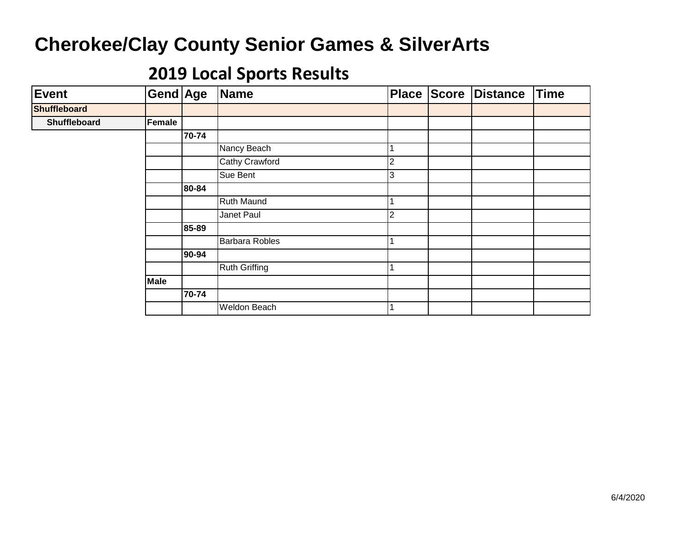| <b>Event</b>        | Gend Age    |       | <b>Name</b>           | <b>Place</b> | Score | Distance | <b>Time</b> |
|---------------------|-------------|-------|-----------------------|--------------|-------|----------|-------------|
| <b>Shuffleboard</b> |             |       |                       |              |       |          |             |
| Shuffleboard        | Female      |       |                       |              |       |          |             |
|                     |             | 70-74 |                       |              |       |          |             |
|                     |             |       | Nancy Beach           |              |       |          |             |
|                     |             |       | <b>Cathy Crawford</b> | 2            |       |          |             |
|                     |             |       | Sue Bent              | 3            |       |          |             |
|                     |             | 80-84 |                       |              |       |          |             |
|                     |             |       | Ruth Maund            |              |       |          |             |
|                     |             |       | Janet Paul            | 2            |       |          |             |
|                     |             | 85-89 |                       |              |       |          |             |
|                     |             |       | <b>Barbara Robles</b> |              |       |          |             |
|                     |             | 90-94 |                       |              |       |          |             |
|                     |             |       | <b>Ruth Griffing</b>  |              |       |          |             |
|                     | <b>Male</b> |       |                       |              |       |          |             |
|                     |             | 70-74 |                       |              |       |          |             |
|                     |             |       | Weldon Beach          |              |       |          |             |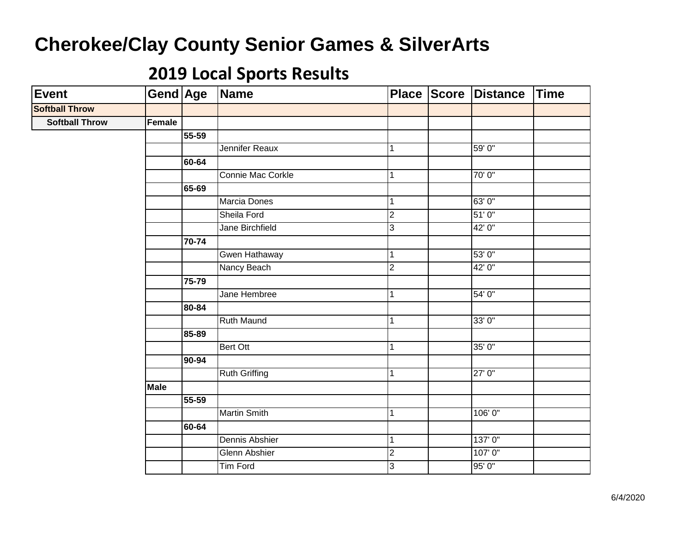| Event                 | Gend Age    |           | Name                  |                | Place Score Distance | <b>Time</b> |
|-----------------------|-------------|-----------|-----------------------|----------------|----------------------|-------------|
| <b>Softball Throw</b> |             |           |                       |                |                      |             |
| <b>Softball Throw</b> | Female      |           |                       |                |                      |             |
|                       |             | 55-59     |                       |                |                      |             |
|                       |             |           | Jennifer Reaux        | $\mathbf{1}$   | 59' 0"               |             |
|                       |             | 60-64     |                       |                |                      |             |
|                       |             |           | Connie Mac Corkle     | 1              | 70'0"                |             |
|                       |             | 65-69     |                       |                |                      |             |
|                       |             |           | Marcia Dones          | $\mathbf{1}$   | 63'0"                |             |
|                       |             |           | Sheila Ford           | $\overline{2}$ | 51'0''               |             |
|                       |             |           | Jane Birchfield       | 3              | 42' 0"               |             |
|                       |             | $70 - 74$ |                       |                |                      |             |
|                       |             |           | Gwen Hathaway         | $\mathbf{1}$   | 53' 0"               |             |
|                       |             |           | Nancy Beach           | $\overline{2}$ | 42' 0"               |             |
|                       |             | 75-79     |                       |                |                      |             |
|                       |             |           | Jane Hembree          | $\mathbf{1}$   | 54' 0"               |             |
|                       |             | 80-84     |                       |                |                      |             |
|                       |             |           | <b>Ruth Maund</b>     | 1              | 33'0"                |             |
|                       |             | 85-89     |                       |                |                      |             |
|                       |             |           | Bert Ott              | $\mathbf{1}$   | 35' 0"               |             |
|                       |             | 90-94     |                       |                |                      |             |
|                       |             |           | <b>Ruth Griffing</b>  | $\mathbf{1}$   | 27'0''               |             |
|                       | <b>Male</b> |           |                       |                |                      |             |
|                       |             | $55 - 59$ |                       |                |                      |             |
|                       |             |           | <b>Martin Smith</b>   | $\mathbf{1}$   | 106' 0"              |             |
|                       |             | 60-64     |                       |                |                      |             |
|                       |             |           | <b>Dennis Abshier</b> | 1              | 137'0"               |             |
|                       |             |           | <b>Glenn Abshier</b>  | $\overline{2}$ | 107'0"               |             |
|                       |             |           | Tim Ford              | 3              | 95'0"                |             |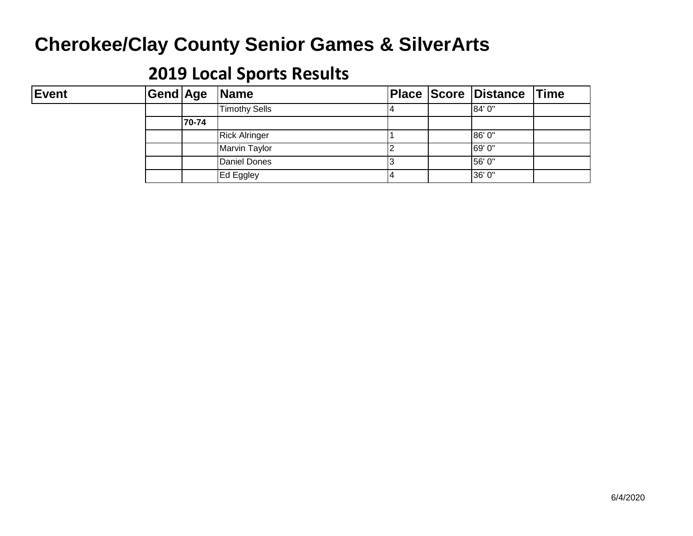#### **2019 Local Sports Results**

#### Event  $|\text{Gend}|$ Age **er Grou Name Place Score Distance Time** Timothy Sells **14** 84' 0" **70-74** Rick Alringer 1 86' 0" Marvin Taylor 2 89' 0" | Daniel Dones | 3 | 3 | 56' 0" Ed Eggley 26' 0"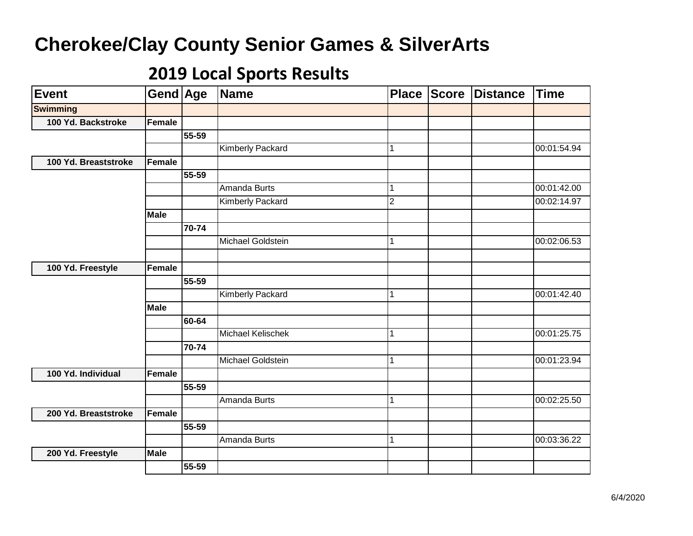| <b>Event</b>         | Gend Age      |       | <b>Name</b>              | <b>Place</b>   | Score | <b>Distance</b> | <b>Time</b> |
|----------------------|---------------|-------|--------------------------|----------------|-------|-----------------|-------------|
| <b>Swimming</b>      |               |       |                          |                |       |                 |             |
| 100 Yd. Backstroke   | Female        |       |                          |                |       |                 |             |
|                      |               | 55-59 |                          |                |       |                 |             |
|                      |               |       | Kimberly Packard         | 1              |       |                 | 00:01:54.94 |
| 100 Yd. Breaststroke | Female        |       |                          |                |       |                 |             |
|                      |               | 55-59 |                          |                |       |                 |             |
|                      |               |       | Amanda Burts             | 1              |       |                 | 00:01:42.00 |
|                      |               |       | <b>Kimberly Packard</b>  | $\overline{2}$ |       |                 | 00:02:14.97 |
|                      | <b>Male</b>   |       |                          |                |       |                 |             |
|                      |               | 70-74 |                          |                |       |                 |             |
|                      |               |       | Michael Goldstein        | 1              |       |                 | 00:02:06.53 |
|                      |               |       |                          |                |       |                 |             |
| 100 Yd. Freestyle    | <b>Female</b> |       |                          |                |       |                 |             |
|                      |               | 55-59 |                          |                |       |                 |             |
|                      |               |       | Kimberly Packard         | 1              |       |                 | 00:01:42.40 |
|                      | <b>Male</b>   |       |                          |                |       |                 |             |
|                      |               | 60-64 |                          |                |       |                 |             |
|                      |               |       | <b>Michael Kelischek</b> | 1              |       |                 | 00:01:25.75 |
|                      |               | 70-74 |                          |                |       |                 |             |
|                      |               |       | <b>Michael Goldstein</b> | 1              |       |                 | 00:01:23.94 |
| 100 Yd. Individual   | Female        |       |                          |                |       |                 |             |
|                      |               | 55-59 |                          |                |       |                 |             |
|                      |               |       | <b>Amanda Burts</b>      | $\mathbf{1}$   |       |                 | 00:02:25.50 |
| 200 Yd. Breaststroke | Female        |       |                          |                |       |                 |             |
|                      |               | 55-59 |                          |                |       |                 |             |
|                      |               |       | Amanda Burts             | $\mathbf{1}$   |       |                 | 00:03:36.22 |
| 200 Yd. Freestyle    | <b>Male</b>   |       |                          |                |       |                 |             |
|                      |               | 55-59 |                          |                |       |                 |             |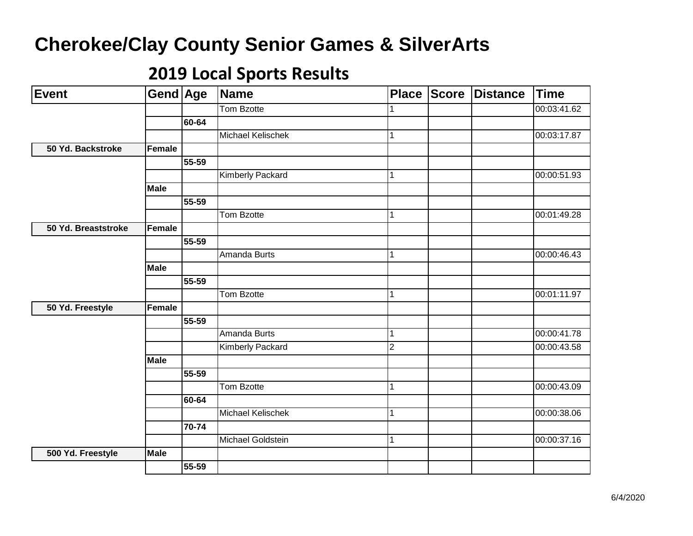| <b>Event</b>        | Gend Age      |       | <b>Name</b>              | <b>Place</b>   | Score | <b>Distance</b> | <b>Time</b> |
|---------------------|---------------|-------|--------------------------|----------------|-------|-----------------|-------------|
|                     |               |       | Tom Bzotte               | 1              |       |                 | 00:03:41.62 |
|                     |               | 60-64 |                          |                |       |                 |             |
|                     |               |       | <b>Michael Kelischek</b> | 1              |       |                 | 00:03:17.87 |
| 50 Yd. Backstroke   | <b>Female</b> |       |                          |                |       |                 |             |
|                     |               | 55-59 |                          |                |       |                 |             |
|                     |               |       | <b>Kimberly Packard</b>  | 1              |       |                 | 00:00:51.93 |
|                     | <b>Male</b>   |       |                          |                |       |                 |             |
|                     |               | 55-59 |                          |                |       |                 |             |
|                     |               |       | Tom Bzotte               | 1              |       |                 | 00:01:49.28 |
| 50 Yd. Breaststroke | <b>Female</b> |       |                          |                |       |                 |             |
|                     |               | 55-59 |                          |                |       |                 |             |
|                     |               |       | Amanda Burts             | 1              |       |                 | 00:00:46.43 |
|                     | <b>Male</b>   |       |                          |                |       |                 |             |
|                     |               | 55-59 |                          |                |       |                 |             |
|                     |               |       | Tom Bzotte               | 1              |       |                 | 00:01:11.97 |
| 50 Yd. Freestyle    | Female        |       |                          |                |       |                 |             |
|                     |               | 55-59 |                          |                |       |                 |             |
|                     |               |       | <b>Amanda Burts</b>      | 1              |       |                 | 00:00:41.78 |
|                     |               |       | Kimberly Packard         | $\overline{2}$ |       |                 | 00:00:43.58 |
|                     | <b>Male</b>   |       |                          |                |       |                 |             |
|                     |               | 55-59 |                          |                |       |                 |             |
|                     |               |       | Tom Bzotte               | 1              |       |                 | 00:00:43.09 |
|                     |               | 60-64 |                          |                |       |                 |             |
|                     |               |       | <b>Michael Kelischek</b> | $\mathbf{1}$   |       |                 | 00:00:38.06 |
|                     |               | 70-74 |                          |                |       |                 |             |
|                     |               |       | Michael Goldstein        | $\mathbf{1}$   |       |                 | 00:00:37.16 |
| 500 Yd. Freestyle   | <b>Male</b>   |       |                          |                |       |                 |             |
|                     |               | 55-59 |                          |                |       |                 |             |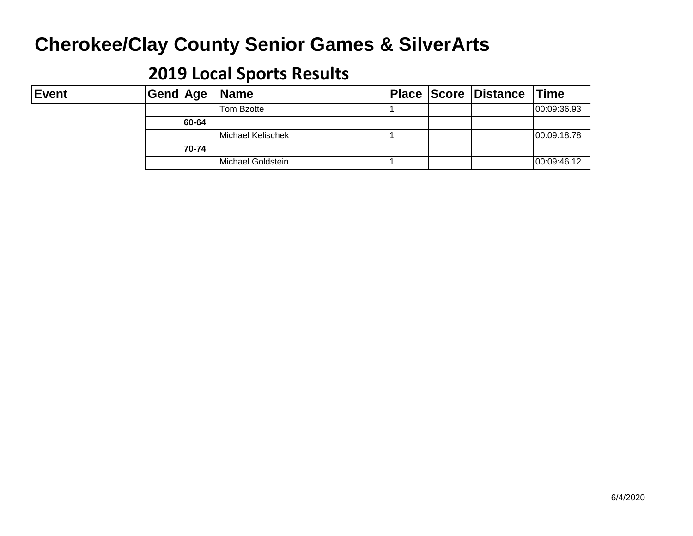#### **2019 Local Sports Results**

#### Event  $|\text{Gend}|$ Age **er Grou Name Place Score Distance Time** Tom Bzotte 1 1 1 00:09:36.93 **60-64** Michael Kelischek 1 1 1 00:09:18.78 **70-74** Michael Goldstein 1 1 1 1 1 00:09:46.12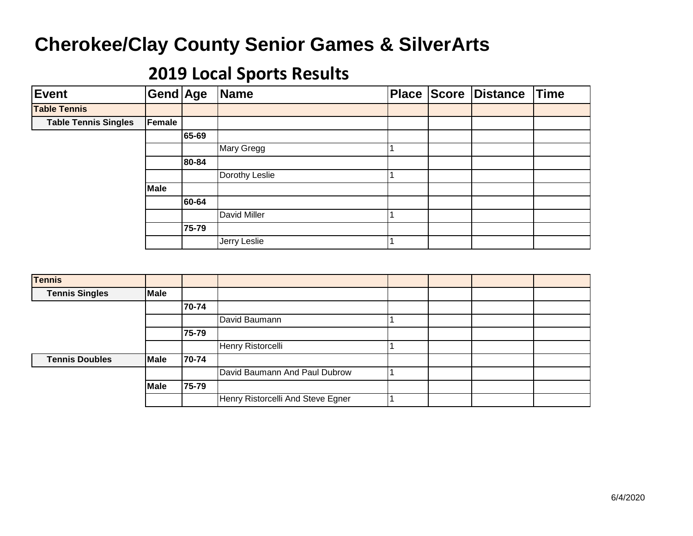| <b>Event</b>                | Gend Age |       | Name           |  | <b>Place Score Distance</b> | Time |
|-----------------------------|----------|-------|----------------|--|-----------------------------|------|
| <b>Table Tennis</b>         |          |       |                |  |                             |      |
| <b>Table Tennis Singles</b> | Female   |       |                |  |                             |      |
|                             |          | 65-69 |                |  |                             |      |
|                             |          |       | Mary Gregg     |  |                             |      |
|                             |          | 80-84 |                |  |                             |      |
|                             |          |       | Dorothy Leslie |  |                             |      |
|                             | Male     |       |                |  |                             |      |
|                             |          | 60-64 |                |  |                             |      |
|                             |          |       | David Miller   |  |                             |      |
|                             |          | 75-79 |                |  |                             |      |
|                             |          |       | Jerry Leslie   |  |                             |      |

| <b>Tennis</b>         |             |       |                                   |  |  |
|-----------------------|-------------|-------|-----------------------------------|--|--|
| <b>Tennis Singles</b> | Male        |       |                                   |  |  |
|                       |             | 70-74 |                                   |  |  |
|                       |             |       | David Baumann                     |  |  |
|                       |             | 75-79 |                                   |  |  |
|                       |             |       | Henry Ristorcelli                 |  |  |
| <b>Tennis Doubles</b> | <b>Male</b> | 70-74 |                                   |  |  |
|                       |             |       | David Baumann And Paul Dubrow     |  |  |
|                       | Male        | 75-79 |                                   |  |  |
|                       |             |       | Henry Ristorcelli And Steve Egner |  |  |